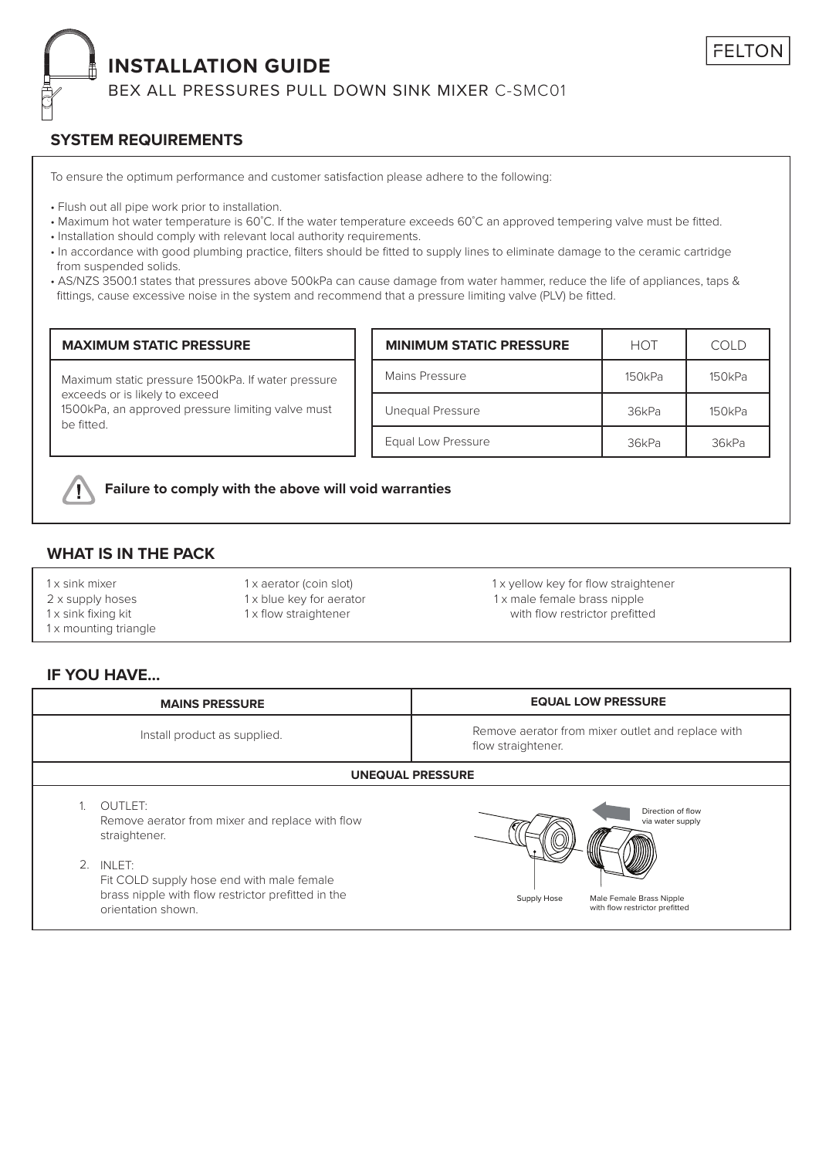## **INSTALLATION GUIDE**

BEX ALL PRESSURES PULL DOWN SINK MIXER C-SMC01

### **SYSTEM REQUIREMENTS**

To ensure the optimum performance and customer satisfaction please adhere to the following:

- Flush out all pipe work prior to installation.
- Maximum hot water temperature is 60˚C. If the water temperature exceeds 60˚C an approved tempering valve must be fitted.
- Installation should comply with relevant local authority requirements.
- In accordance with good plumbing practice, filters should be fitted to supply lines to eliminate damage to the ceramic cartridge from suspended solids.
- AS/NZS 3500.1 states that pressures above 500kPa can cause damage from water hammer, reduce the life of appliances, taps & fittings, cause excessive noise in the system and recommend that a pressure limiting valve (PLV) be fitted.

| <b>MAXIMUM STATIC PRESSURE</b>                                                                                                                          | <b>MINIMUM STATIC PRESSURE</b> | <b>HOT</b> | COLD   |
|---------------------------------------------------------------------------------------------------------------------------------------------------------|--------------------------------|------------|--------|
| Maximum static pressure 1500kPa. If water pressure<br>exceeds or is likely to exceed<br>1500kPa, an approved pressure limiting valve must<br>be fitted. | Mains Pressure                 | 150kPa     | 150kPa |
|                                                                                                                                                         | Unequal Pressure               | 36kPa      | 150kPa |
|                                                                                                                                                         | Equal Low Pressure             | 36kPa      | 36kPa  |



### **Failure to comply with the above will void warranties**

### **WHAT IS IN THE PACK**

- 1 x mounting triangle
- 

1x sink mixer 1 x 1 x aerator (coin slot) 1 x x x ellow key for flow straightener 2 x supply hoses 1 x blue key for aerator 1 x male female brass nipple 1x sink fixing kit 1 x flow straightener with flow restrictor prefitted

**FELTOI** 

### **IF YOU HAVE...**

|                              | <b>MAINS PRESSURE</b>                                                                                                              | <b>EQUAL LOW PRESSURE</b>                                                 |  |  |  |
|------------------------------|------------------------------------------------------------------------------------------------------------------------------------|---------------------------------------------------------------------------|--|--|--|
| Install product as supplied. |                                                                                                                                    | Remove aerator from mixer outlet and replace with<br>flow straightener.   |  |  |  |
|                              | <b>UNEQUAL PRESSURE</b>                                                                                                            |                                                                           |  |  |  |
|                              | OUTLET:<br>Remove aerator from mixer and replace with flow<br>straightener.                                                        | Direction of flow<br>via water supply                                     |  |  |  |
|                              | 2. INLET:<br>Fit COLD supply hose end with male female<br>brass nipple with flow restrictor prefitted in the<br>orientation shown. | Male Female Brass Nipple<br>Supply Hose<br>with flow restrictor prefitted |  |  |  |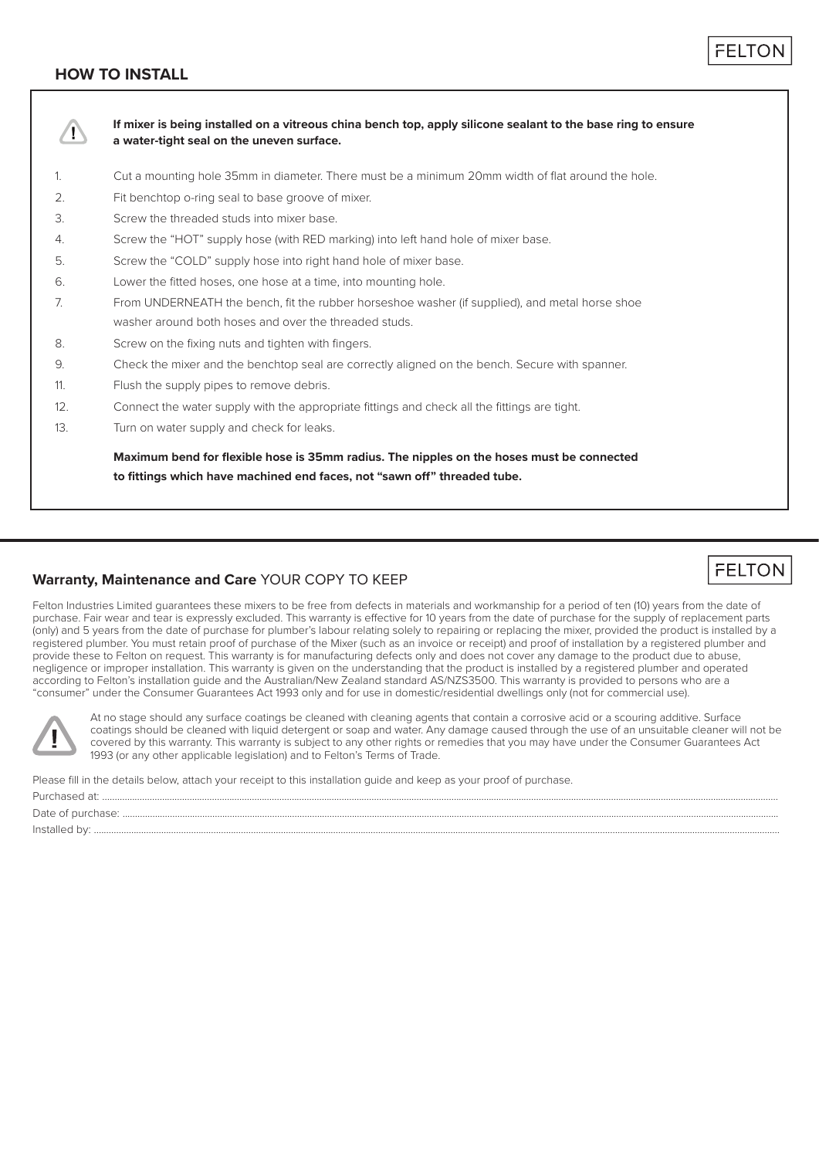### **HOW TO INSTALL**



### **Warranty, Maintenance and Care** YOUR COPY TO KEEP

**FELTON** 

Felton Industries Limited guarantees these mixers to be free from defects in materials and workmanship for a period of ten (10) years from the date of purchase. Fair wear and tear is expressly excluded. This warranty is effective for 10 years from the date of purchase for the supply of replacement parts (only) and 5 years from the date of purchase for plumber's labour relating solely to repairing or replacing the mixer, provided the product is installed by a registered plumber. You must retain proof of purchase of the Mixer (such as an invoice or receipt) and proof of installation by a registered plumber and provide these to Felton on request. This warranty is for manufacturing defects only and does not cover any damage to the product due to abuse negligence or improper installation. This warranty is given on the understanding that the product is installed by a registered plumber and operated according to Felton's installation guide and the Australian/New Zealand standard AS/NZS3500. This warranty is provided to persons who are a "consumer" under the Consumer Guarantees Act 1993 only and for use in domestic/residential dwellings only (not for commercial use).



At no stage should any surface coatings be cleaned with cleaning agents that contain a corrosive acid or a scouring additive. Surface coatings should be cleaned with liquid detergent or soap and water. Any damage caused through the use of an unsuitable cleaner will not be covered by this warranty. This warranty is subject to any other rights or remedies that you may have under the Consumer Guarantees Act 1993 (or any other applicable legislation) and to Felton's Terms of Trade.

Please fill in the details below, attach your receipt to this installation guide and keep as your proof of purchase.

| Date of       |
|---------------|
| Installed by: |